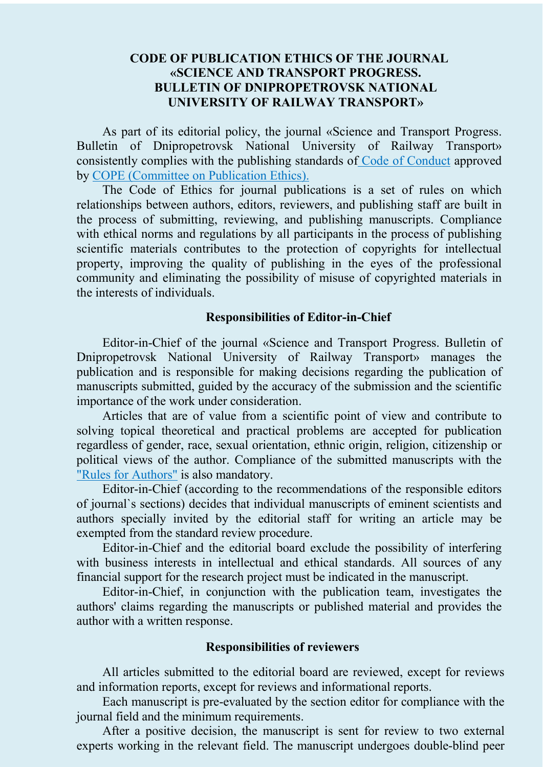## **CODE OF PUBLICATION ETHICS OF THE JOURNAL «SCIENCE AND TRANSPORT PROGRESS. BULLETIN OF DNIPROPETROVSK NATIONAL UNIVERSITY OF RAILWAY TRANSPORT»**

As part of its editorial policy, the journal «Science and Transport Progress. Bulletin of Dnipropetrovsk National University of Railway Transport» consistently complies with the publishing standards of [Code of Conduct](https://publicationethics.org/annualreport/2005/3) approved by [COPE \(Committee on](https://publicationethics.org/) Publication Ethics).

The Code of Ethics for journal publications is a set of rules on which relationships between authors, editors, reviewers, and publishing staff are built in the process of submitting, reviewing, and publishing manuscripts. Compliance with ethical norms and regulations by all participants in the process of publishing scientific materials contributes to the protection of copyrights for intellectual property, improving the quality of publishing in the eyes of the professional community and eliminating the possibility of misuse of copyrighted materials in the interests of individuals.

## **Responsibilities of Editor-in-Chief**

Editor-in-Chief of the journal «Science and Transport Progress. Bulletin of Dnipropetrovsk National University of Railway Transport» manages the publication and is responsible for making decisions regarding the publication of manuscripts submitted, guided by the accuracy of the submission and the scientific importance of the work under consideration.

Articles that are of value from a scientific point of view and contribute to solving topical theoretical and practical problems are accepted for publication regardless of gender, race, sexual orientation, ethnic origin, religion, citizenship or political views of the author. Compliance of the submitted manuscripts with the "Rules [for Authors"](http://stp.diit.edu.ua/about/submissions) is also mandatory.

Editor-in-Chief (according to the recommendations of the responsible editors of journal`s sections) decides that individual manuscripts of eminent scientists and authors specially invited by the editorial staff for writing an article may be exempted from the standard review procedure.

Editor-in-Chief and the editorial board exclude the possibility of interfering with business interests in intellectual and ethical standards. All sources of any financial support for the research project must be indicated in the manuscript.

Editor-in-Chief, in conjunction with the publication team, investigates the authors' claims regarding the manuscripts or published material and provides the author with a written response.

## **Responsibilities of reviewers**

All articles submitted to the editorial board are reviewed, except for reviews and information reports, except for reviews and informational reports.

Each manuscript is pre-evaluated by the section editor for compliance with the journal field and the minimum requirements.

After a positive decision, the manuscript is sent for review to two external experts working in the relevant field. The manuscript undergoes double-blind peer